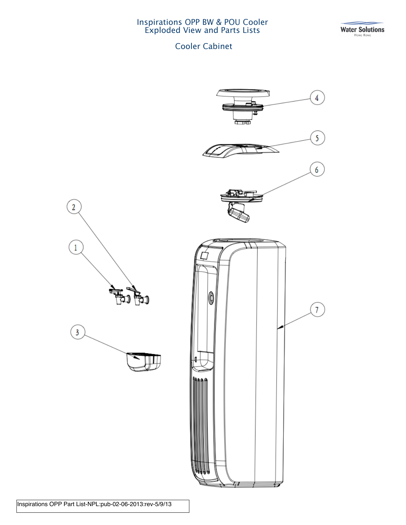Inspirations OPP BW & POU Cooler Exploded View and Parts Lists

Water Solutions

## Cooler Cabinet



Inspirations OPP Part List-NPL:pub-02-06-2013:rev-5/9/13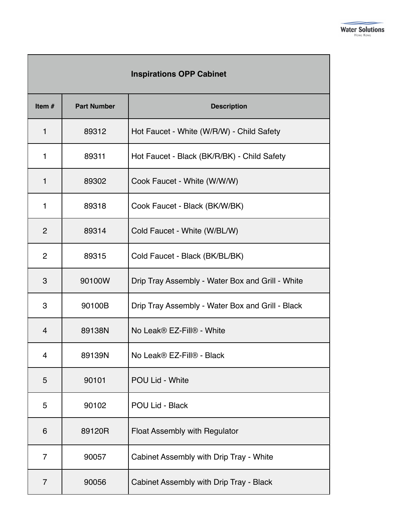| <b>Inspirations OPP Cabinet</b> |                    |                                                  |  |  |
|---------------------------------|--------------------|--------------------------------------------------|--|--|
| Item $#$                        | <b>Part Number</b> | <b>Description</b>                               |  |  |
| $\mathbf{1}$                    | 89312              | Hot Faucet - White (W/R/W) - Child Safety        |  |  |
| $\mathbf{1}$                    | 89311              | Hot Faucet - Black (BK/R/BK) - Child Safety      |  |  |
| $\mathbf{1}$                    | 89302              | Cook Faucet - White (W/W/W)                      |  |  |
| $\mathbf{1}$                    | 89318              | Cook Faucet - Black (BK/W/BK)                    |  |  |
| $\overline{2}$                  | 89314              | Cold Faucet - White (W/BL/W)                     |  |  |
| $\overline{2}$                  | 89315              | Cold Faucet - Black (BK/BL/BK)                   |  |  |
| 3                               | 90100W             | Drip Tray Assembly - Water Box and Grill - White |  |  |
| 3                               | 90100B             | Drip Tray Assembly - Water Box and Grill - Black |  |  |
| 4                               | 89138N             | No Leak® EZ-Fill® - White                        |  |  |
| 4                               | 89139N             | No Leak® EZ-Fill® - Black                        |  |  |
| 5                               | 90101              | POU Lid - White                                  |  |  |
| 5                               | 90102              | POU Lid - Black                                  |  |  |
| 6                               | 89120R             | Float Assembly with Regulator                    |  |  |
| 7                               | 90057              | Cabinet Assembly with Drip Tray - White          |  |  |
| $\overline{7}$                  | 90056              | Cabinet Assembly with Drip Tray - Black          |  |  |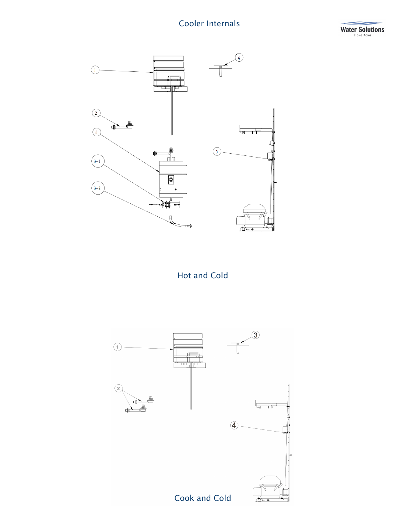## Cooler Internals





Hot and Cold